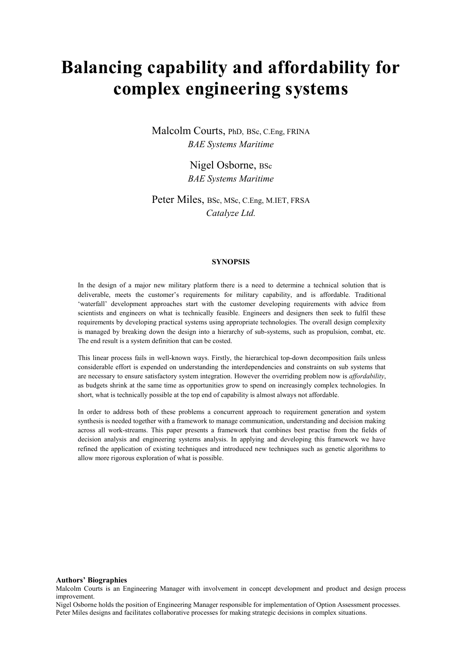# **Balancing capability and affordability for complex engineering systems**

Malcolm Courts, PhD, BSc, C.Eng, FRINA *BAE Systems Maritime*

> Nigel Osborne, BSc *BAE Systems Maritime*

Peter Miles, BSc, MSc, C.Eng, M.IET, FRSA *Catalyze Ltd.*

## **SYNOPSIS**

In the design of a major new military platform there is a need to determine a technical solution that is deliverable, meets the customer's requirements for military capability, and is affordable. Traditional 'waterfall' development approaches start with the customer developing requirements with advice from scientists and engineers on what is technically feasible. Engineers and designers then seek to fulfil these requirements by developing practical systems using appropriate technologies. The overall design complexity is managed by breaking down the design into a hierarchy of sub-systems, such as propulsion, combat, etc. The end result is a system definition that can be costed.

This linear process fails in well-known ways. Firstly, the hierarchical top-down decomposition fails unless considerable effort is expended on understanding the interdependencies and constraints on sub systems that are necessary to ensure satisfactory system integration. However the overriding problem now is *affordability*, as budgets shrink at the same time as opportunities grow to spend on increasingly complex technologies. In short, what is technically possible at the top end of capability is almost always not affordable.

In order to address both of these problems a concurrent approach to requirement generation and system synthesis is needed together with a framework to manage communication, understanding and decision making across all work-streams. This paper presents a framework that combines best practise from the fields of decision analysis and engineering systems analysis. In applying and developing this framework we have refined the application of existing techniques and introduced new techniques such as genetic algorithms to allow more rigorous exploration of what is possible.

#### **Authors' Biographies**

Malcolm Courts is an Engineering Manager with involvement in concept development and product and design process improvement.

Nigel Osborne holds the position of Engineering Manager responsible for implementation of Option Assessment processes. Peter Miles designs and facilitates collaborative processes for making strategic decisions in complex situations.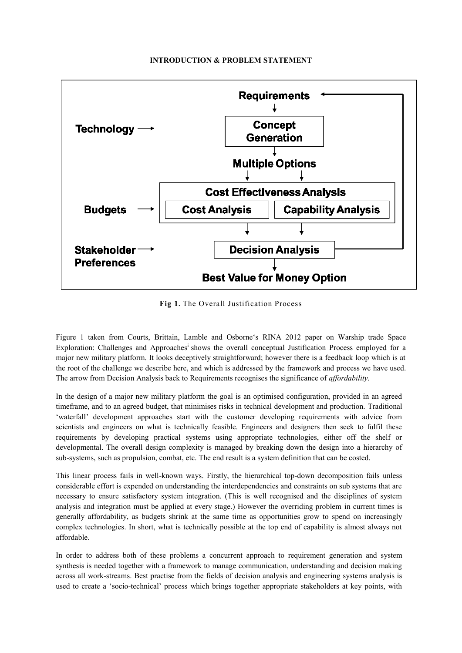# **INTRODUCTION & PROBLEM STATEMENT**



**Fig 1.** The Overall Justification Process

Figure 1 taken from Courts, Brittain, Lamble and Osborne's RINA 2012 paper on Warship trade Space Exploration: Challenges and Approaches<sup>i</sup> shows the overall conceptual Justification Process employed for a major new military platform. It looks deceptively straightforward; however there is a feedback loop which is at the root of the challenge we describe here, and which is addressed by the framework and process we have used. The arrow from Decision Analysis back to Requirements recognises the significance of *affordability.*

In the design of a major new military platform the goal is an optimised configuration, provided in an agreed timeframe, and to an agreed budget, that minimises risks in technical development and production. Traditional 'waterfall' development approaches start with the customer developing requirements with advice from scientists and engineers on what is technically feasible. Engineers and designers then seek to fulfil these requirements by developing practical systems using appropriate technologies, either off the shelf or developmental. The overall design complexity is managed by breaking down the design into a hierarchy of sub-systems, such as propulsion, combat, etc. The end result is a system definition that can be costed.

This linear process fails in well-known ways. Firstly, the hierarchical top-down decomposition fails unless considerable effort is expended on understanding the interdependencies and constraints on sub systems that are necessary to ensure satisfactory system integration. (This is well recognised and the disciplines of system analysis and integration must be applied at every stage.) However the overriding problem in current times is generally affordability, as budgets shrink at the same time as opportunities grow to spend on increasingly complex technologies. In short, what is technically possible at the top end of capability is almost always not affordable.

In order to address both of these problems a concurrent approach to requirement generation and system synthesis is needed together with a framework to manage communication, understanding and decision making across all work-streams. Best practise from the fields of decision analysis and engineering systems analysis is used to create a 'socio-technical' process which brings together appropriate stakeholders at key points, with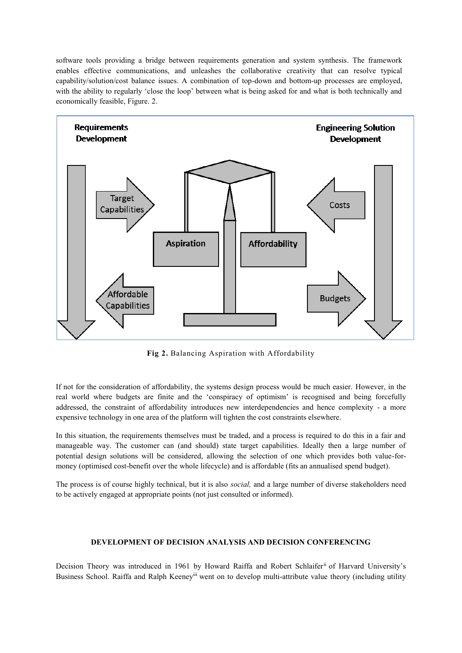software tools providing a bridge between requirements generation and system synthesis. The framework enables effective communications, and unleashes the collaborative creativity that can resolve typical capability/solution/cost balance issues. A combination of top-down and bottom-up processes are employed, with the ability to regularly 'close the loop' between what is being asked for and what is both technically and economically feasible, Figure. 2.



**Fig 2.** Balancing Aspiration with Affordability

If not for the consideration of affordability, the systems design process would be much easier. However, in the real world where budgets are finite and the 'conspiracy of optimism' is recognised and being forcefully addressed, the constraint of affordability introduces new interdependencies and hence complexity - a more expensive technology in one area of the platform will tighten the cost constraints elsewhere.

In this situation, the requirements themselves must be traded, and a process is required to do this in a fair and manageable way. The customer can (and should) state target capabilities. Ideally then a large number of potential design solutions will be considered, allowing the selection of one which provides both value-formoney (optimised cost-benefit over the whole lifecycle) and is affordable (fits an annualised spend budget).

The process is of course highly technical, but it is also *social,* and a large number of diverse stakeholders need to be actively engaged at appropriate points (not just consulted or informed).

## **DEVELOPMENT OF DECISION ANALYSIS AND DECISION CONFERENCING**

Decision Theory was introduced in 1961 by Howard Raiffa and Robert Schlaiferii of Harvard University's Business School. Raiffa and Ralph Keeney<sup>iii</sup> went on to develop multi-attribute value theory (including utility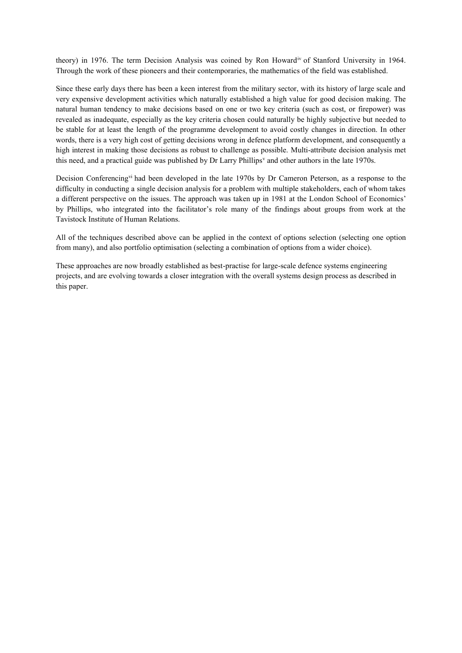theory) in 1976. The term Decision Analysis was coined by Ron Howardiv of Stanford University in 1964. Through the work of these pioneers and their contemporaries, the mathematics of the field was established.

Since these early days there has been a keen interest from the military sector, with its history of large scale and very expensive development activities which naturally established a high value for good decision making. The natural human tendency to make decisions based on one or two key criteria (such as cost, or firepower) was revealed as inadequate, especially as the key criteria chosen could naturally be highly subjective but needed to be stable for at least the length of the programme development to avoid costly changes in direction. In other words, there is a very high cost of getting decisions wrong in defence platform development, and consequently a high interest in making those decisions as robust to challenge as possible. Multi-attribute decision analysis met this need, and a practical guide was published by Dr Larry Phillips<sup>v</sup> and other authors in the late 1970s.

Decision Conferencing<sup>vi</sup> had been developed in the late 1970s by Dr Cameron Peterson, as a response to the difficulty in conducting a single decision analysis for a problem with multiple stakeholders, each of whom takes a different perspective on the issues. The approach was taken up in 1981 at the London School of Economics' by Phillips, who integrated into the facilitator's role many of the findings about groups from work at the Tavistock Institute of Human Relations.

All of the techniques described above can be applied in the context of options selection (selecting one option from many), and also portfolio optimisation (selecting a combination of options from a wider choice).

These approaches are now broadly established as best-practise for large-scale defence systems engineering projects, and are evolving towards a closer integration with the overall systems design process as described in this paper.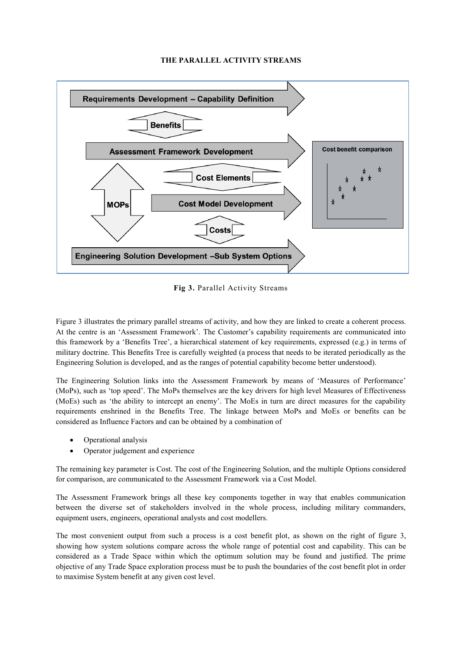## **THE PARALLEL ACTIVITY STREAMS**



**Fig 3.** Parallel Activity Streams

Figure 3 illustrates the primary parallel streams of activity, and how they are linked to create a coherent process. At the centre is an 'Assessment Framework'. The Customer's capability requirements are communicated into this framework by a 'Benefits Tree', a hierarchical statement of key requirements, expressed (e.g.) in terms of military doctrine. This Benefits Tree is carefully weighted (a process that needs to be iterated periodically as the Engineering Solution is developed, and as the ranges of potential capability become better understood).

The Engineering Solution links into the Assessment Framework by means of 'Measures of Performance' (MoPs), such as 'top speed'. The MoPs themselves are the key drivers for high level Measures of Effectiveness (MoEs) such as 'the ability to intercept an enemy'. The MoEs in turn are direct measures for the capability requirements enshrined in the Benefits Tree. The linkage between MoPs and MoEs or benefits can be considered as Influence Factors and can be obtained by a combination of

- Operational analysis
- Operator judgement and experience

The remaining key parameter is Cost. The cost of the Engineering Solution, and the multiple Options considered for comparison, are communicated to the Assessment Framework via a Cost Model.

The Assessment Framework brings all these key components together in way that enables communication between the diverse set of stakeholders involved in the whole process, including military commanders, equipment users, engineers, operational analysts and cost modellers.

The most convenient output from such a process is a cost benefit plot, as shown on the right of figure 3, showing how system solutions compare across the whole range of potential cost and capability. This can be considered as a Trade Space within which the optimum solution may be found and justified. The prime objective of any Trade Space exploration process must be to push the boundaries of the cost benefit plot in order to maximise System benefit at any given cost level.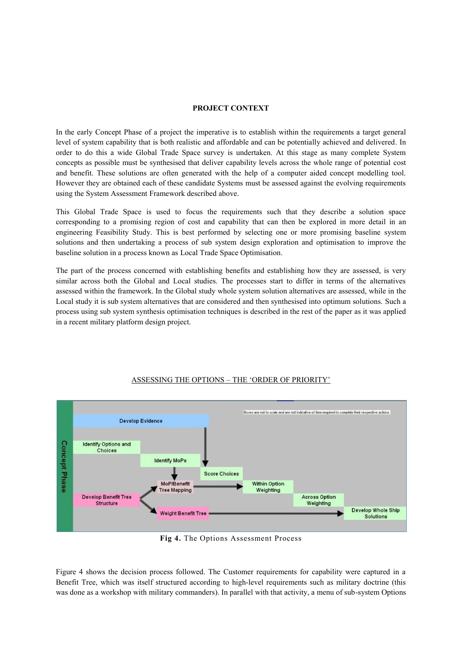# **PROJECT CONTEXT**

In the early Concept Phase of a project the imperative is to establish within the requirements a target general level of system capability that is both realistic and affordable and can be potentially achieved and delivered. In order to do this a wide Global Trade Space survey is undertaken. At this stage as many complete System concepts as possible must be synthesised that deliver capability levels across the whole range of potential cost and benefit. These solutions are often generated with the help of a computer aided concept modelling tool. However they are obtained each of these candidate Systems must be assessed against the evolving requirements using the System Assessment Framework described above.

This Global Trade Space is used to focus the requirements such that they describe a solution space corresponding to a promising region of cost and capability that can then be explored in more detail in an engineering Feasibility Study. This is best performed by selecting one or more promising baseline system solutions and then undertaking a process of sub system design exploration and optimisation to improve the baseline solution in a process known as Local Trade Space Optimisation.

The part of the process concerned with establishing benefits and establishing how they are assessed, is very similar across both the Global and Local studies. The processes start to differ in terms of the alternatives assessed within the framework. In the Global study whole system solution alternatives are assessed, while in the Local study it is sub system alternatives that are considered and then synthesised into optimum solutions. Such a process using sub system synthesis optimisation techniques is described in the rest of the paper as it was applied in a recent military platform design project.



# ASSESSING THE OPTIONS – THE 'ORDER OF PRIORITY'

**Fig 4.** The Options Assessment Process

Figure 4 shows the decision process followed. The Customer requirements for capability were captured in a Benefit Tree, which was itself structured according to high-level requirements such as military doctrine (this was done as a workshop with military commanders). In parallel with that activity, a menu of sub-system Options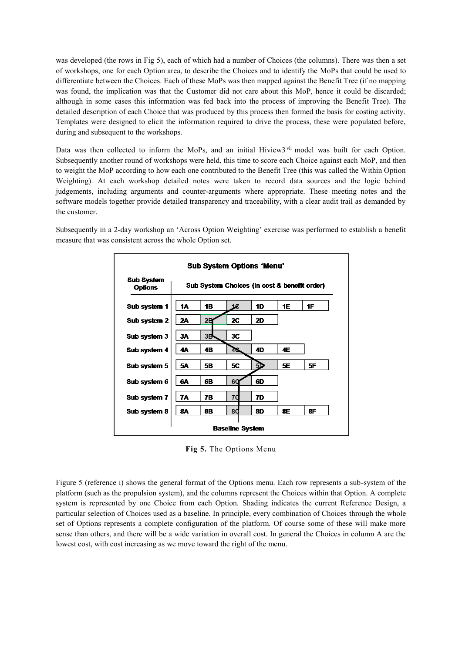was developed (the rows in Fig 5), each of which had a number of Choices (the columns). There was then a set of workshops, one for each Option area, to describe the Choices and to identify the MoPs that could be used to differentiate between the Choices. Each of these MoPs was then mapped against the Benefit Tree (if no mapping was found, the implication was that the Customer did not care about this MoP, hence it could be discarded; although in some cases this information was fed back into the process of improving the Benefit Tree). The detailed description of each Choice that was produced by this process then formed the basis for costing activity. Templates were designed to elicit the information required to drive the process, these were populated before, during and subsequent to the workshops.

Data was then collected to inform the MoPs, and an initial Hiview3<sup>vii</sup> model was built for each Option. Subsequently another round of workshops were held, this time to score each Choice against each MoP, and then to weight the MoP according to how each one contributed to the Benefit Tree (this was called the Within Option Weighting). At each workshop detailed notes were taken to record data sources and the logic behind judgements, including arguments and counter-arguments where appropriate. These meeting notes and the software models together provide detailed transparency and traceability, with a clear audit trail as demanded by the customer.

Subsequently in a 2-day workshop an 'Across Option Weighting' exercise was performed to establish a benefit measure that was consistent across the whole Option set.



**Fig 5.** The Options Menu

Figure 5 (reference i) shows the general format of the Options menu. Each row represents a sub-system of the platform (such as the propulsion system), and the columns represent the Choices within that Option. A complete system is represented by one Choice from each Option. Shading indicates the current Reference Design, a particular selection of Choices used as a baseline. In principle, every combination of Choices through the whole set of Options represents a complete configuration of the platform. Of course some of these will make more sense than others, and there will be a wide variation in overall cost. In general the Choices in column A are the lowest cost, with cost increasing as we move toward the right of the menu.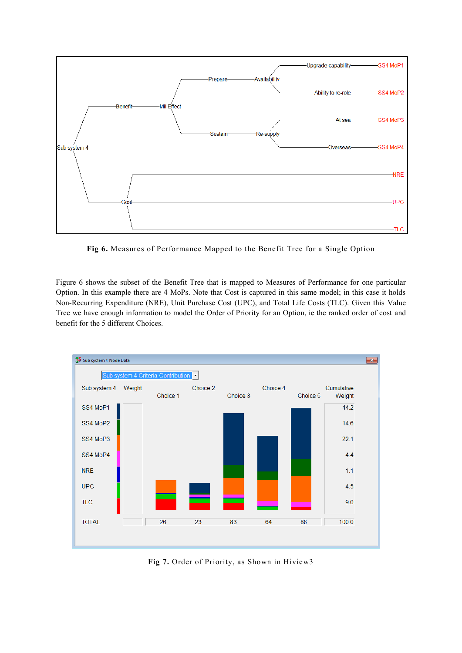

**Fig 6.** Measures of Performance Mapped to the Benefit Tree for a Single Option

Figure 6 shows the subset of the Benefit Tree that is mapped to Measures of Performance for one particular Option. In this example there are 4 MoPs. Note that Cost is captured in this same model; in this case it holds Non-Recurring Expenditure (NRE), Unit Purchase Cost (UPC), and Total Life Costs (TLC). Given this Value Tree we have enough information to model the Order of Priority for an Option, ie the ranked order of cost and benefit for the 5 different Choices.



**Fig 7.** Order of Priority, as Shown in Hiview3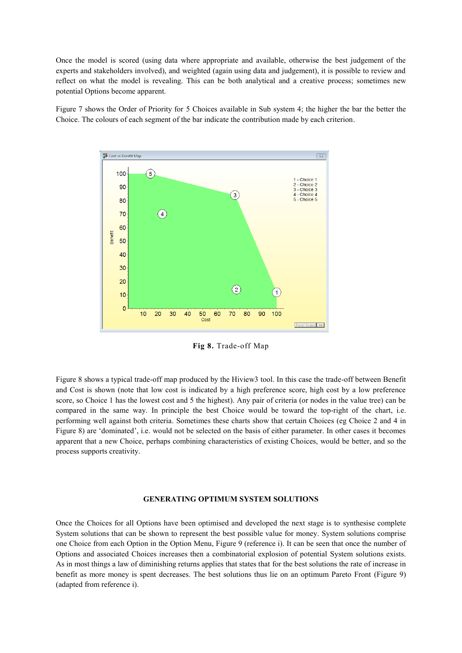Once the model is scored (using data where appropriate and available, otherwise the best judgement of the experts and stakeholders involved), and weighted (again using data and judgement), it is possible to review and reflect on what the model is revealing. This can be both analytical and a creative process; sometimes new potential Options become apparent.

Figure 7 shows the Order of Priority for 5 Choices available in Sub system 4; the higher the bar the better the Choice. The colours of each segment of the bar indicate the contribution made by each criterion.



**Fig 8.** Trade-off Map

Figure 8 shows a typical trade-off map produced by the Hiview3 tool. In this case the trade-off between Benefit and Cost is shown (note that low cost is indicated by a high preference score, high cost by a low preference score, so Choice 1 has the lowest cost and 5 the highest). Any pair of criteria (or nodes in the value tree) can be compared in the same way. In principle the best Choice would be toward the top-right of the chart, i.e. performing well against both criteria. Sometimes these charts show that certain Choices (eg Choice 2 and 4 in Figure 8) are 'dominated', i.e. would not be selected on the basis of either parameter. In other cases it becomes apparent that a new Choice, perhaps combining characteristics of existing Choices, would be better, and so the process supports creativity.

#### **GENERATING OPTIMUM SYSTEM SOLUTIONS**

Once the Choices for all Options have been optimised and developed the next stage is to synthesise complete System solutions that can be shown to represent the best possible value for money. System solutions comprise one Choice from each Option in the Option Menu, Figure 9 (reference i). It can be seen that once the number of Options and associated Choices increases then a combinatorial explosion of potential System solutions exists. As in most things a law of diminishing returns applies that states that for the best solutions the rate of increase in benefit as more money is spent decreases. The best solutions thus lie on an optimum Pareto Front (Figure 9) (adapted from reference i).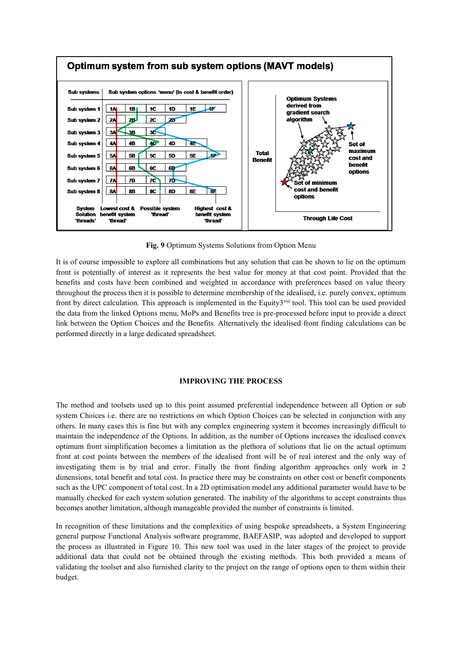

**Fig. 9** Optimum Systems Solutions from Option Menu

It is of course impossible to explore all combinations but any solution that can be shown to lie on the optimum front is potentially of interest as it represents the best value for money at that cost point. Provided that the benefits and costs have been combined and weighted in accordance with preferences based on value theory throughout the process then it is possible to determine membership of the idealised, i.e. purely convex, optimum front by direct calculation. This approach is implemented in the Equity3 $\overline{v}$ <sup>iii</sup> tool. This tool can be used provided the data from the linked Options menu, MoPs and Benefits tree is pre-processed before input to provide a direct link between the Option Choices and the Benefits. Alternatively the idealised front finding calculations can be performed directly in a large dedicated spreadsheet.

# **IMPROVING THE PROCESS**

The method and toolsets used up to this point assumed preferential independence between all Option or sub system Choices i.e. there are no restrictions on which Option Choices can be selected in conjunction with any others. In many cases this is fine but with any complex engineering system it becomes increasingly difficult to maintain the independence of the Options. In addition, as the number of Options increases the idealised convex optimum front simplification becomes a limitation as the plethora of solutions that lie on the actual optimum front at cost points between the members of the idealised front will be of real interest and the only way of investigating them is by trial and error. Finally the front finding algorithm approaches only work in 2 dimensions, total benefit and total cost. In practice there may be constraints on other cost or benefit components such as the UPC component of total cost. In a 2D optimisation model any additional parameter would have to be manually checked for each system solution generated. The inability of the algorithms to accept constraints thus becomes another limitation, although manageable provided the number of constraints is limited.

In recognition of these limitations and the complexities of using bespoke spreadsheets, a System Engineering general purpose Functional Analysis software programme, BAEFASIP, was adopted and developed to support the process as illustrated in Figure 10. This new tool was used in the later stages of the project to provide additional data that could not be obtained through the existing methods. This both provided a means of validating the toolset and also furnished clarity to the project on the range of options open to them within their budget.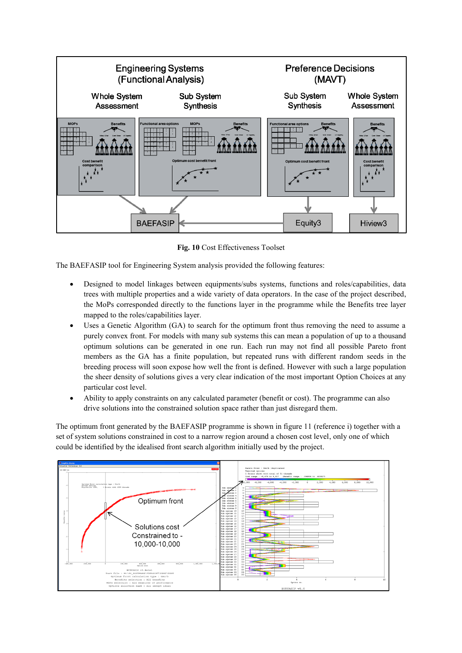

**Fig. 10** Cost Effectiveness Toolset

The BAEFASIP tool for Engineering System analysis provided the following features:

- Designed to model linkages between equipments/subs systems, functions and roles/capabilities, data trees with multiple properties and a wide variety of data operators. In the case of the project described, the MoPs corresponded directly to the functions layer in the programme while the Benefits tree layer mapped to the roles/capabilities layer.
- Uses a Genetic Algorithm (GA) to search for the optimum front thus removing the need to assume a purely convex front. For models with many sub systems this can mean a population of up to a thousand optimum solutions can be generated in one run. Each run may not find all possible Pareto front members as the GA has a finite population, but repeated runs with different random seeds in the breeding process will soon expose how well the front is defined. However with such a large population the sheer density of solutions gives a very clear indication of the most important Option Choices at any particular cost level.
- Ability to apply constraints on any calculated parameter (benefit or cost). The programme can also drive solutions into the constrained solution space rather than just disregard them.

The optimum front generated by the BAEFASIP programme is shown in figure 11 (reference i) together with a set of system solutions constrained in cost to a narrow region around a chosen cost level, only one of which could be identified by the idealised front search algorithm initially used by the project.

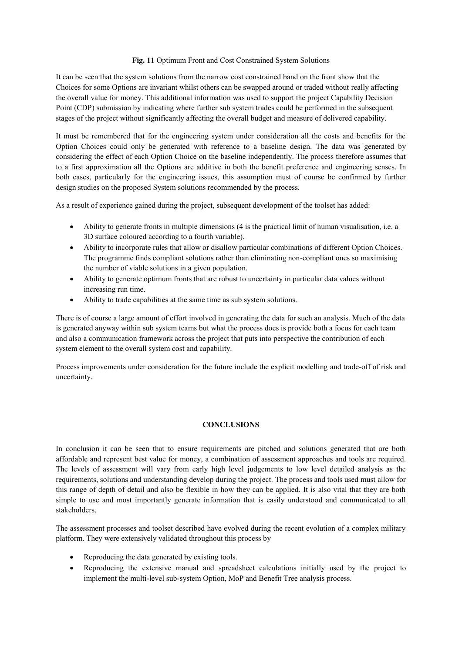# **Fig. 11** Optimum Front and Cost Constrained System Solutions

It can be seen that the system solutions from the narrow cost constrained band on the front show that the Choices for some Options are invariant whilst others can be swapped around or traded without really affecting the overall value for money. This additional information was used to support the project Capability Decision Point (CDP) submission by indicating where further sub system trades could be performed in the subsequent stages of the project without significantly affecting the overall budget and measure of delivered capability.

It must be remembered that for the engineering system under consideration all the costs and benefits for the Option Choices could only be generated with reference to a baseline design. The data was generated by considering the effect of each Option Choice on the baseline independently. The process therefore assumes that to a first approximation all the Options are additive in both the benefit preference and engineering senses. In both cases, particularly for the engineering issues, this assumption must of course be confirmed by further design studies on the proposed System solutions recommended by the process.

As a result of experience gained during the project, subsequent development of the toolset has added:

- Ability to generate fronts in multiple dimensions (4 is the practical limit of human visualisation, i.e. a 3D surface coloured according to a fourth variable).
- Ability to incorporate rules that allow or disallow particular combinations of different Option Choices. The programme finds compliant solutions rather than eliminating non-compliant ones so maximising the number of viable solutions in a given population.
- Ability to generate optimum fronts that are robust to uncertainty in particular data values without increasing run time.
- Ability to trade capabilities at the same time as sub system solutions.

There is of course a large amount of effort involved in generating the data for such an analysis. Much of the data is generated anyway within sub system teams but what the process does is provide both a focus for each team and also a communication framework across the project that puts into perspective the contribution of each system element to the overall system cost and capability.

Process improvements under consideration for the future include the explicit modelling and trade-off of risk and uncertainty.

## **CONCLUSIONS**

In conclusion it can be seen that to ensure requirements are pitched and solutions generated that are both affordable and represent best value for money, a combination of assessment approaches and tools are required. The levels of assessment will vary from early high level judgements to low level detailed analysis as the requirements, solutions and understanding develop during the project. The process and tools used must allow for this range of depth of detail and also be flexible in how they can be applied. It is also vital that they are both simple to use and most importantly generate information that is easily understood and communicated to all stakeholders.

The assessment processes and toolset described have evolved during the recent evolution of a complex military platform. They were extensively validated throughout this process by

- Reproducing the data generated by existing tools.
- Reproducing the extensive manual and spreadsheet calculations initially used by the project to implement the multi-level sub-system Option, MoP and Benefit Tree analysis process.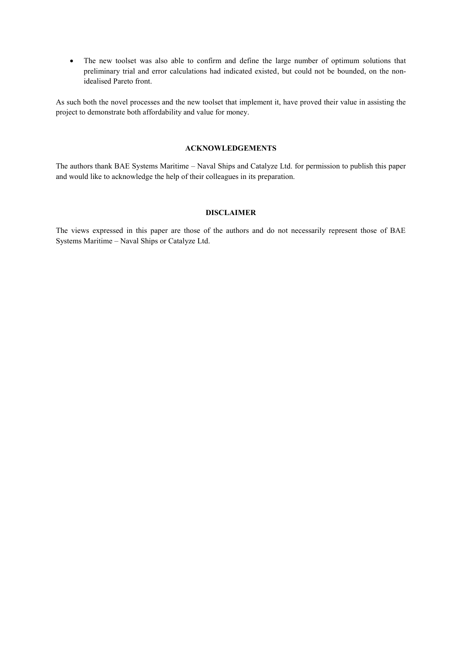The new toolset was also able to confirm and define the large number of optimum solutions that preliminary trial and error calculations had indicated existed, but could not be bounded, on the nonidealised Pareto front.

As such both the novel processes and the new toolset that implement it, have proved their value in assisting the project to demonstrate both affordability and value for money.

# **ACKNOWLEDGEMENTS**

The authors thank BAE Systems Maritime – Naval Ships and Catalyze Ltd. for permission to publish this paper and would like to acknowledge the help of their colleagues in its preparation.

#### **DISCLAIMER**

The views expressed in this paper are those of the authors and do not necessarily represent those of BAE Systems Maritime – Naval Ships or Catalyze Ltd.